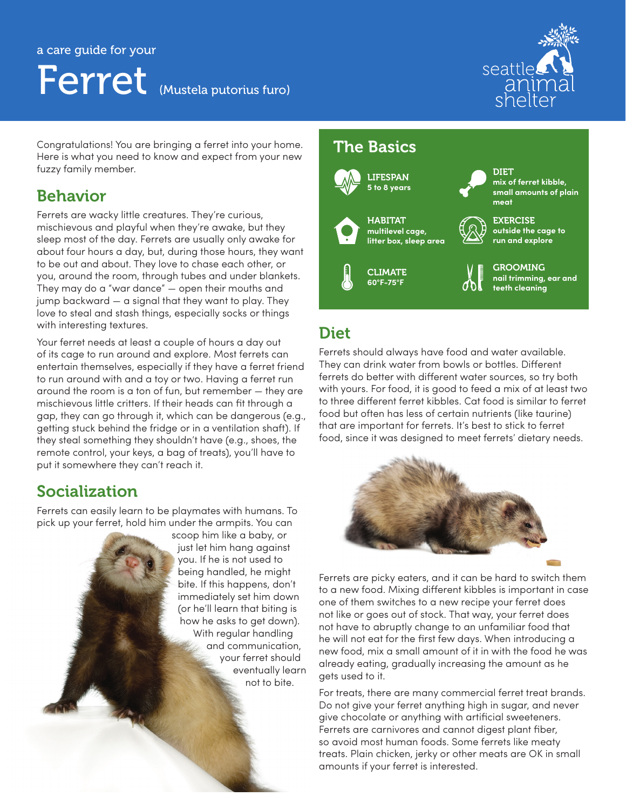# a care guide for your Ferret (Mustela putorius furo)



Congratulations! You are bringing a ferret into your home. Here is what you need to know and expect from your new fuzzy family member.

#### Behavior

Ferrets are wacky little creatures. They're curious, mischievous and playful when they're awake, but they sleep most of the day. Ferrets are usually only awake for about four hours a day, but, during those hours, they want to be out and about. They love to chase each other, or you, around the room, through tubes and under blankets. They may do a "war dance" — open their mouths and jump backward — a signal that they want to play. They love to steal and stash things, especially socks or things with interesting textures.

Your ferret needs at least a couple of hours a day out of its cage to run around and explore. Most ferrets can entertain themselves, especially if they have a ferret friend to run around with and a toy or two. Having a ferret run around the room is a ton of fun, but remember — they are mischievous little critters. If their heads can fit through a gap, they can go through it, which can be dangerous (e.g., getting stuck behind the fridge or in a ventilation shaft). If they steal something they shouldn't have (e.g., shoes, the remote control, your keys, a bag of treats), you'll have to put it somewhere they can't reach it.

#### Socialization

Ferrets can easily learn to be playmates with humans. To pick up your ferret, hold him under the armpits. You can

scoop him like a baby, or just let him hang against you. If he is not used to being handled, he might bite. If this happens, don't immediately set him down (or he'll learn that biting is how he asks to get down). With regular handling and communication, your ferret should eventually learn not to bite.

#### The Basics



DIET **mix of ferret kibble, small amounts of plain meat**

**EXERCISE outside the cage to run and explore**



#### Diet

Ferrets should always have food and water available. They can drink water from bowls or bottles. Different ferrets do better with different water sources, so try both with yours. For food, it is good to feed a mix of at least two to three different ferret kibbles. Cat food is similar to ferret food but often has less of certain nutrients (like taurine) that are important for ferrets. It's best to stick to ferret food, since it was designed to meet ferrets' dietary needs.



Ferrets are picky eaters, and it can be hard to switch them to a new food. Mixing different kibbles is important in case one of them switches to a new recipe your ferret does not like or goes out of stock. That way, your ferret does not have to abruptly change to an unfamiliar food that he will not eat for the first few days. When introducing a new food, mix a small amount of it in with the food he was already eating, gradually increasing the amount as he gets used to it.

For treats, there are many commercial ferret treat brands. Do not give your ferret anything high in sugar, and never give chocolate or anything with artificial sweeteners. Ferrets are carnivores and cannot digest plant fiber, so avoid most human foods. Some ferrets like meaty treats. Plain chicken, jerky or other meats are OK in small amounts if your ferret is interested.